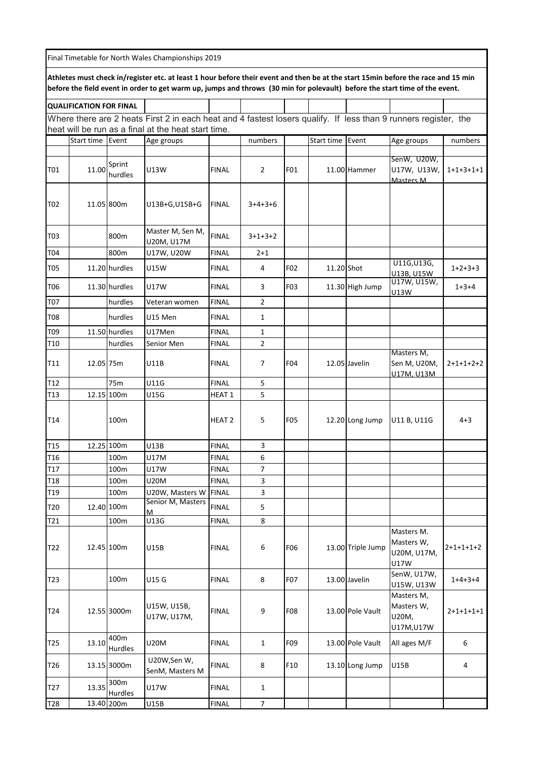| Final Timetable for North Wales Championships 2019                                                                                                                                                                                                               |                                |                   |                                                                                                                 |               |                |            |                  |                   |                                                 |             |
|------------------------------------------------------------------------------------------------------------------------------------------------------------------------------------------------------------------------------------------------------------------|--------------------------------|-------------------|-----------------------------------------------------------------------------------------------------------------|---------------|----------------|------------|------------------|-------------------|-------------------------------------------------|-------------|
| Athletes must check in/register etc. at least 1 hour before their event and then be at the start 15min before the race and 15 min<br>before the field event in order to get warm up, jumps and throws (30 min for polevault) before the start time of the event. |                                |                   |                                                                                                                 |               |                |            |                  |                   |                                                 |             |
|                                                                                                                                                                                                                                                                  | <b>QUALIFICATION FOR FINAL</b> |                   |                                                                                                                 |               |                |            |                  |                   |                                                 |             |
|                                                                                                                                                                                                                                                                  |                                |                   | Where there are 2 heats First 2 in each heat and 4 fastest losers qualify. If less than 9 runners register, the |               |                |            |                  |                   |                                                 |             |
|                                                                                                                                                                                                                                                                  |                                |                   | heat will be run as a final at the heat start time.                                                             |               |                |            |                  |                   |                                                 |             |
|                                                                                                                                                                                                                                                                  | Start time                     | Event             | Age groups                                                                                                      |               | numbers        |            | Start time Event |                   | Age groups                                      | numbers     |
|                                                                                                                                                                                                                                                                  |                                |                   |                                                                                                                 |               |                |            |                  |                   | SenW, U20W,                                     |             |
| T01                                                                                                                                                                                                                                                              | 11.00                          | Sprint<br>hurdles | U13W                                                                                                            | <b>FINAL</b>  | $\overline{2}$ | F01        |                  | 11.00 Hammer      | U17W, U13W,<br>Masters M                        | $1+1+3+1+1$ |
| T02                                                                                                                                                                                                                                                              |                                | 11.05 800m        | U13B+G,U15B+G                                                                                                   | <b>FINAL</b>  | $3+4+3+6$      |            |                  |                   |                                                 |             |
| T03                                                                                                                                                                                                                                                              |                                | 800m              | Master M, Sen M,<br>U20M, U17M                                                                                  | <b>FINAL</b>  | $3+1+3+2$      |            |                  |                   |                                                 |             |
| T04                                                                                                                                                                                                                                                              |                                | 800m              | U17W, U20W                                                                                                      | <b>FINAL</b>  | $2 + 1$        |            |                  |                   |                                                 |             |
| T05                                                                                                                                                                                                                                                              |                                | 11.20 hurdles     | U15W                                                                                                            | <b>FINAL</b>  | 4              | F02        | 11.20 Shot       |                   | U11G, U13G,<br>U13B, U15W                       | $1+2+3+3$   |
| T06                                                                                                                                                                                                                                                              |                                | 11.30 hurdles     | U17W                                                                                                            | <b>FINAL</b>  | 3              | F03        |                  | 11.30 High Jump   | U17W, U15W,<br>U13W                             | $1+3+4$     |
| T07                                                                                                                                                                                                                                                              |                                | hurdles           | Veteran women                                                                                                   | <b>FINAL</b>  | 2              |            |                  |                   |                                                 |             |
| T08                                                                                                                                                                                                                                                              |                                | hurdles           | U15 Men                                                                                                         | <b>FINAL</b>  | 1              |            |                  |                   |                                                 |             |
| T09                                                                                                                                                                                                                                                              |                                | 11.50 hurdles     | U17Men                                                                                                          | <b>FINAL</b>  | 1              |            |                  |                   |                                                 |             |
| T10                                                                                                                                                                                                                                                              |                                | hurdles           | Senior Men                                                                                                      | <b>FINAL</b>  | $\overline{2}$ |            |                  |                   |                                                 |             |
| T11                                                                                                                                                                                                                                                              | 12.05 75m                      |                   | U11B                                                                                                            | <b>FINAL</b>  | 7              | F04        |                  | 12.05 Javelin     | Masters M,<br>Sen M, U20M,                      | $2+1+1+2+2$ |
| T12                                                                                                                                                                                                                                                              |                                | 75m               | U11G                                                                                                            | <b>FINAL</b>  | 5              |            |                  |                   | U17M. U13M                                      |             |
| T13                                                                                                                                                                                                                                                              |                                | 12.15 100m        | U15G                                                                                                            | <b>HEAT 1</b> | 5              |            |                  |                   |                                                 |             |
| T14                                                                                                                                                                                                                                                              |                                | 100m              |                                                                                                                 | <b>HEAT 2</b> | 5              | <b>F05</b> |                  | 12.20 Long Jump   | U11 B, U11G                                     | $4 + 3$     |
| T <sub>15</sub>                                                                                                                                                                                                                                                  |                                | 12.25 100m        | U13B                                                                                                            | <b>FINAL</b>  | 3              |            |                  |                   |                                                 |             |
| T <sub>16</sub>                                                                                                                                                                                                                                                  |                                | 100m              | <b>U17M</b>                                                                                                     | <b>FINAL</b>  | 6              |            |                  |                   |                                                 |             |
| T <sub>17</sub>                                                                                                                                                                                                                                                  |                                | 100m              | U17W                                                                                                            | <b>FINAL</b>  | $\overline{7}$ |            |                  |                   |                                                 |             |
| T18                                                                                                                                                                                                                                                              |                                | 100m              | U20M                                                                                                            | <b>FINAL</b>  | 3              |            |                  |                   |                                                 |             |
| T19                                                                                                                                                                                                                                                              |                                | 100m              | U20W, Masters W                                                                                                 | <b>FINAL</b>  | 3              |            |                  |                   |                                                 |             |
| T20                                                                                                                                                                                                                                                              |                                | 12.40 100m        | Senior M, Masters<br>M                                                                                          | <b>FINAL</b>  | 5              |            |                  |                   |                                                 |             |
| T21                                                                                                                                                                                                                                                              |                                | 100m              | U13G                                                                                                            | <b>FINAL</b>  | 8              |            |                  |                   |                                                 |             |
| T22                                                                                                                                                                                                                                                              |                                | 12.45 100m        | U15B                                                                                                            | <b>FINAL</b>  | 6              | <b>F06</b> |                  | 13.00 Triple Jump | Masters M.<br>Masters W,<br>U20M, U17M,<br>U17W | $2+1+1+1+2$ |
| T23                                                                                                                                                                                                                                                              |                                | 100m              | U15 G                                                                                                           | <b>FINAL</b>  | 8              | F07        |                  | 13.00 Javelin     | SenW, U17W,<br>U15W, U13W                       | $1+4+3+4$   |
| T24                                                                                                                                                                                                                                                              |                                | 12.55 3000m       | U15W, U15B,<br>U17W, U17M,                                                                                      | <b>FINAL</b>  | 9              | <b>F08</b> |                  | 13.00 Pole Vault  | Masters M,<br>Masters W,<br>U20M,<br>U17M, U17W | $2+1+1+1+1$ |
| T <sub>25</sub>                                                                                                                                                                                                                                                  | 13.10                          | 400m<br>Hurdles   | U20M                                                                                                            | <b>FINAL</b>  | 1              | F09        |                  | 13.00 Pole Vault  | All ages M/F                                    | 6           |
| T26                                                                                                                                                                                                                                                              |                                | 13.15 3000m       | U20W,Sen W,<br>SenM, Masters M                                                                                  | <b>FINAL</b>  | 8              | F10        |                  | 13.10 Long Jump   | U15B                                            | 4           |
| T <sub>27</sub>                                                                                                                                                                                                                                                  | 13.35                          | 300m<br>Hurdles   | U17W                                                                                                            | <b>FINAL</b>  | $\mathbf{1}$   |            |                  |                   |                                                 |             |
| T <sub>28</sub>                                                                                                                                                                                                                                                  |                                | 13.40 200m        | U15B                                                                                                            | <b>FINAL</b>  | $\overline{7}$ |            |                  |                   |                                                 |             |